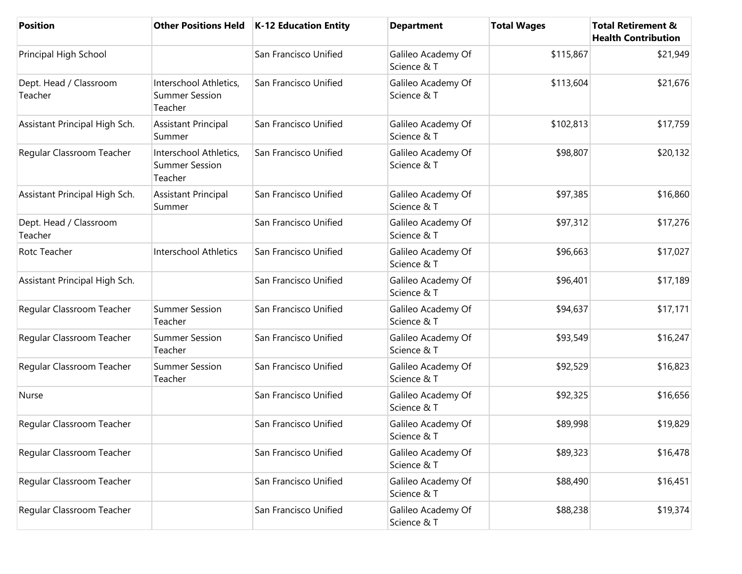| <b>Position</b>                   | <b>Other Positions Held</b>                                | K-12 Education Entity | <b>Department</b>                 | <b>Total Wages</b> | <b>Total Retirement &amp;</b><br><b>Health Contribution</b> |
|-----------------------------------|------------------------------------------------------------|-----------------------|-----------------------------------|--------------------|-------------------------------------------------------------|
| Principal High School             |                                                            | San Francisco Unified | Galileo Academy Of<br>Science & T | \$115,867          | \$21,949                                                    |
| Dept. Head / Classroom<br>Teacher | Interschool Athletics,<br><b>Summer Session</b><br>Teacher | San Francisco Unified | Galileo Academy Of<br>Science & T | \$113,604          | \$21,676                                                    |
| Assistant Principal High Sch.     | <b>Assistant Principal</b><br>Summer                       | San Francisco Unified | Galileo Academy Of<br>Science & T | \$102,813          | \$17,759                                                    |
| Regular Classroom Teacher         | Interschool Athletics,<br><b>Summer Session</b><br>Teacher | San Francisco Unified | Galileo Academy Of<br>Science & T | \$98,807           | \$20,132                                                    |
| Assistant Principal High Sch.     | <b>Assistant Principal</b><br>Summer                       | San Francisco Unified | Galileo Academy Of<br>Science & T | \$97,385           | \$16,860                                                    |
| Dept. Head / Classroom<br>Teacher |                                                            | San Francisco Unified | Galileo Academy Of<br>Science & T | \$97,312           | \$17,276                                                    |
| Rotc Teacher                      | Interschool Athletics                                      | San Francisco Unified | Galileo Academy Of<br>Science & T | \$96,663           | \$17,027                                                    |
| Assistant Principal High Sch.     |                                                            | San Francisco Unified | Galileo Academy Of<br>Science & T | \$96,401           | \$17,189                                                    |
| Regular Classroom Teacher         | <b>Summer Session</b><br>Teacher                           | San Francisco Unified | Galileo Academy Of<br>Science & T | \$94,637           | \$17,171                                                    |
| Regular Classroom Teacher         | <b>Summer Session</b><br>Teacher                           | San Francisco Unified | Galileo Academy Of<br>Science & T | \$93,549           | \$16,247                                                    |
| Regular Classroom Teacher         | <b>Summer Session</b><br>Teacher                           | San Francisco Unified | Galileo Academy Of<br>Science & T | \$92,529           | \$16,823                                                    |
| Nurse                             |                                                            | San Francisco Unified | Galileo Academy Of<br>Science & T | \$92,325           | \$16,656                                                    |
| Regular Classroom Teacher         |                                                            | San Francisco Unified | Galileo Academy Of<br>Science & T | \$89,998           | \$19,829                                                    |
| Regular Classroom Teacher         |                                                            | San Francisco Unified | Galileo Academy Of<br>Science & T | \$89,323           | \$16,478                                                    |
| Regular Classroom Teacher         |                                                            | San Francisco Unified | Galileo Academy Of<br>Science & T | \$88,490           | \$16,451                                                    |
| Regular Classroom Teacher         |                                                            | San Francisco Unified | Galileo Academy Of<br>Science & T | \$88,238           | \$19,374                                                    |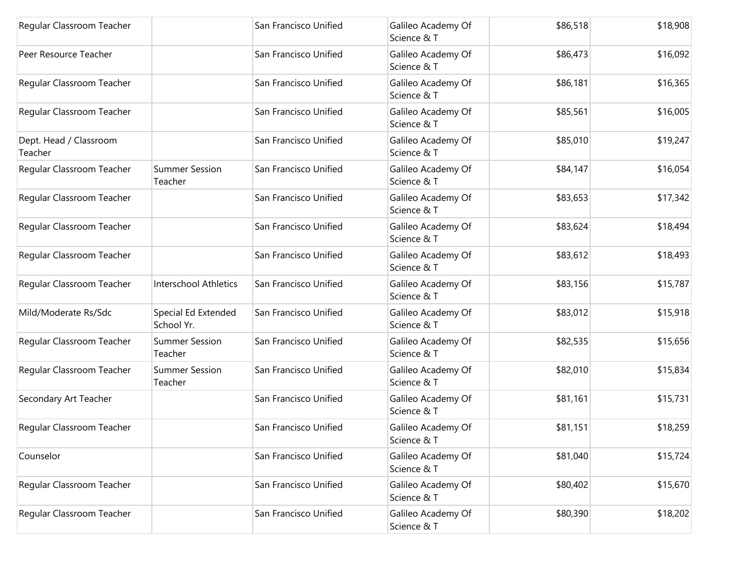| Regular Classroom Teacher         |                                   | San Francisco Unified | Galileo Academy Of<br>Science & T | \$86,518 | \$18,908 |
|-----------------------------------|-----------------------------------|-----------------------|-----------------------------------|----------|----------|
| Peer Resource Teacher             |                                   | San Francisco Unified | Galileo Academy Of<br>Science & T | \$86,473 | \$16,092 |
| Regular Classroom Teacher         |                                   | San Francisco Unified | Galileo Academy Of<br>Science & T | \$86,181 | \$16,365 |
| Regular Classroom Teacher         |                                   | San Francisco Unified | Galileo Academy Of<br>Science & T | \$85,561 | \$16,005 |
| Dept. Head / Classroom<br>Teacher |                                   | San Francisco Unified | Galileo Academy Of<br>Science & T | \$85,010 | \$19,247 |
| Regular Classroom Teacher         | <b>Summer Session</b><br>Teacher  | San Francisco Unified | Galileo Academy Of<br>Science & T | \$84,147 | \$16,054 |
| Regular Classroom Teacher         |                                   | San Francisco Unified | Galileo Academy Of<br>Science & T | \$83,653 | \$17,342 |
| Regular Classroom Teacher         |                                   | San Francisco Unified | Galileo Academy Of<br>Science & T | \$83,624 | \$18,494 |
| Regular Classroom Teacher         |                                   | San Francisco Unified | Galileo Academy Of<br>Science & T | \$83,612 | \$18,493 |
| Regular Classroom Teacher         | <b>Interschool Athletics</b>      | San Francisco Unified | Galileo Academy Of<br>Science & T | \$83,156 | \$15,787 |
| Mild/Moderate Rs/Sdc              | Special Ed Extended<br>School Yr. | San Francisco Unified | Galileo Academy Of<br>Science & T | \$83,012 | \$15,918 |
| Regular Classroom Teacher         | <b>Summer Session</b><br>Teacher  | San Francisco Unified | Galileo Academy Of<br>Science & T | \$82,535 | \$15,656 |
| Regular Classroom Teacher         | <b>Summer Session</b><br>Teacher  | San Francisco Unified | Galileo Academy Of<br>Science & T | \$82,010 | \$15,834 |
| Secondary Art Teacher             |                                   | San Francisco Unified | Galileo Academy Of<br>Science & T | \$81,161 | \$15,731 |
| Regular Classroom Teacher         |                                   | San Francisco Unified | Galileo Academy Of<br>Science & T | \$81,151 | \$18,259 |
| Counselor                         |                                   | San Francisco Unified | Galileo Academy Of<br>Science & T | \$81,040 | \$15,724 |
| Regular Classroom Teacher         |                                   | San Francisco Unified | Galileo Academy Of<br>Science & T | \$80,402 | \$15,670 |
| Regular Classroom Teacher         |                                   | San Francisco Unified | Galileo Academy Of<br>Science & T | \$80,390 | \$18,202 |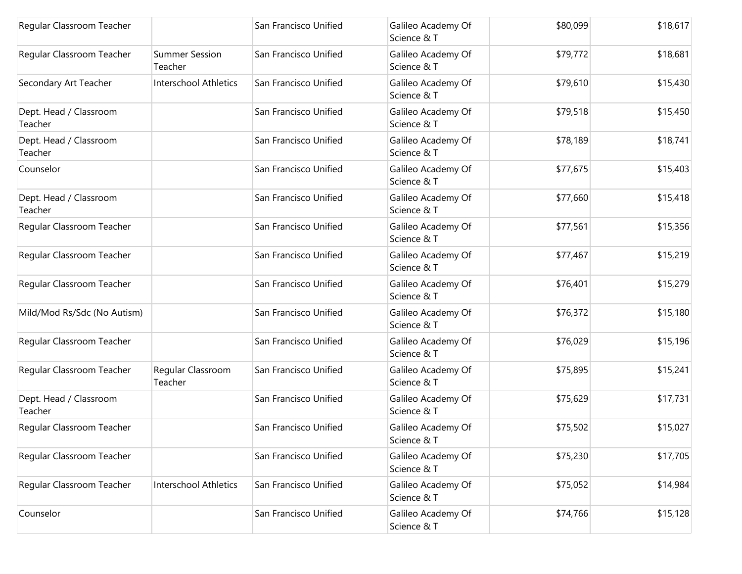| Regular Classroom Teacher         |                                  | San Francisco Unified | Galileo Academy Of<br>Science & T | \$80,099 | \$18,617 |
|-----------------------------------|----------------------------------|-----------------------|-----------------------------------|----------|----------|
| Regular Classroom Teacher         | <b>Summer Session</b><br>Teacher | San Francisco Unified | Galileo Academy Of<br>Science & T | \$79,772 | \$18,681 |
| Secondary Art Teacher             | <b>Interschool Athletics</b>     | San Francisco Unified | Galileo Academy Of<br>Science & T | \$79,610 | \$15,430 |
| Dept. Head / Classroom<br>Teacher |                                  | San Francisco Unified | Galileo Academy Of<br>Science & T | \$79,518 | \$15,450 |
| Dept. Head / Classroom<br>Teacher |                                  | San Francisco Unified | Galileo Academy Of<br>Science & T | \$78,189 | \$18,741 |
| Counselor                         |                                  | San Francisco Unified | Galileo Academy Of<br>Science & T | \$77,675 | \$15,403 |
| Dept. Head / Classroom<br>Teacher |                                  | San Francisco Unified | Galileo Academy Of<br>Science & T | \$77,660 | \$15,418 |
| Regular Classroom Teacher         |                                  | San Francisco Unified | Galileo Academy Of<br>Science & T | \$77,561 | \$15,356 |
| Regular Classroom Teacher         |                                  | San Francisco Unified | Galileo Academy Of<br>Science & T | \$77,467 | \$15,219 |
| Regular Classroom Teacher         |                                  | San Francisco Unified | Galileo Academy Of<br>Science & T | \$76,401 | \$15,279 |
| Mild/Mod Rs/Sdc (No Autism)       |                                  | San Francisco Unified | Galileo Academy Of<br>Science & T | \$76,372 | \$15,180 |
| Regular Classroom Teacher         |                                  | San Francisco Unified | Galileo Academy Of<br>Science & T | \$76,029 | \$15,196 |
| Regular Classroom Teacher         | Regular Classroom<br>Teacher     | San Francisco Unified | Galileo Academy Of<br>Science & T | \$75,895 | \$15,241 |
| Dept. Head / Classroom<br>Teacher |                                  | San Francisco Unified | Galileo Academy Of<br>Science & T | \$75,629 | \$17,731 |
| Regular Classroom Teacher         |                                  | San Francisco Unified | Galileo Academy Of<br>Science & T | \$75,502 | \$15,027 |
| Regular Classroom Teacher         |                                  | San Francisco Unified | Galileo Academy Of<br>Science & T | \$75,230 | \$17,705 |
| Regular Classroom Teacher         | Interschool Athletics            | San Francisco Unified | Galileo Academy Of<br>Science & T | \$75,052 | \$14,984 |
| Counselor                         |                                  | San Francisco Unified | Galileo Academy Of<br>Science & T | \$74,766 | \$15,128 |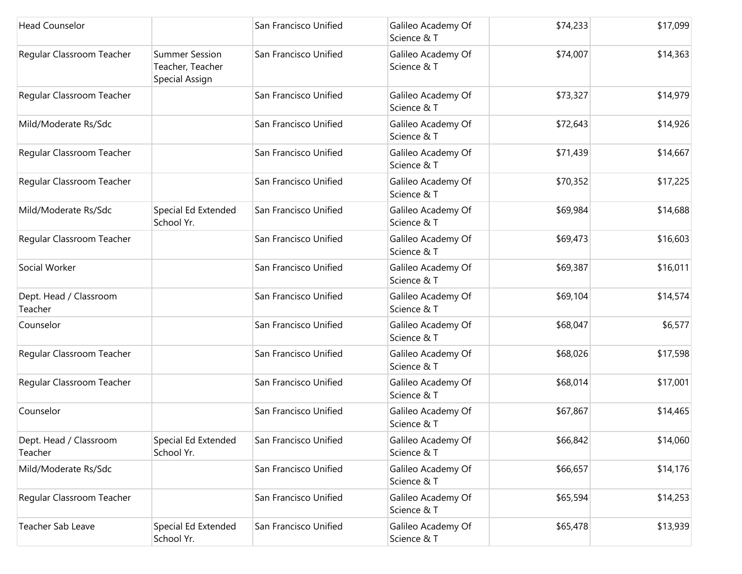| <b>Head Counselor</b>             |                                                             | San Francisco Unified | Galileo Academy Of<br>Science & T | \$74,233 | \$17,099 |
|-----------------------------------|-------------------------------------------------------------|-----------------------|-----------------------------------|----------|----------|
| Regular Classroom Teacher         | <b>Summer Session</b><br>Teacher, Teacher<br>Special Assign | San Francisco Unified | Galileo Academy Of<br>Science & T | \$74,007 | \$14,363 |
| Regular Classroom Teacher         |                                                             | San Francisco Unified | Galileo Academy Of<br>Science & T | \$73,327 | \$14,979 |
| Mild/Moderate Rs/Sdc              |                                                             | San Francisco Unified | Galileo Academy Of<br>Science & T | \$72,643 | \$14,926 |
| Regular Classroom Teacher         |                                                             | San Francisco Unified | Galileo Academy Of<br>Science & T | \$71,439 | \$14,667 |
| Regular Classroom Teacher         |                                                             | San Francisco Unified | Galileo Academy Of<br>Science & T | \$70,352 | \$17,225 |
| Mild/Moderate Rs/Sdc              | Special Ed Extended<br>School Yr.                           | San Francisco Unified | Galileo Academy Of<br>Science & T | \$69,984 | \$14,688 |
| Regular Classroom Teacher         |                                                             | San Francisco Unified | Galileo Academy Of<br>Science & T | \$69,473 | \$16,603 |
| Social Worker                     |                                                             | San Francisco Unified | Galileo Academy Of<br>Science & T | \$69,387 | \$16,011 |
| Dept. Head / Classroom<br>Teacher |                                                             | San Francisco Unified | Galileo Academy Of<br>Science & T | \$69,104 | \$14,574 |
| Counselor                         |                                                             | San Francisco Unified | Galileo Academy Of<br>Science & T | \$68,047 | \$6,577  |
| Regular Classroom Teacher         |                                                             | San Francisco Unified | Galileo Academy Of<br>Science & T | \$68,026 | \$17,598 |
| Regular Classroom Teacher         |                                                             | San Francisco Unified | Galileo Academy Of<br>Science & T | \$68,014 | \$17,001 |
| Counselor                         |                                                             | San Francisco Unified | Galileo Academy Of<br>Science & T | \$67,867 | \$14,465 |
| Dept. Head / Classroom<br>Teacher | Special Ed Extended<br>School Yr.                           | San Francisco Unified | Galileo Academy Of<br>Science & T | \$66,842 | \$14,060 |
| Mild/Moderate Rs/Sdc              |                                                             | San Francisco Unified | Galileo Academy Of<br>Science & T | \$66,657 | \$14,176 |
| Regular Classroom Teacher         |                                                             | San Francisco Unified | Galileo Academy Of<br>Science & T | \$65,594 | \$14,253 |
| <b>Teacher Sab Leave</b>          | Special Ed Extended<br>School Yr.                           | San Francisco Unified | Galileo Academy Of<br>Science & T | \$65,478 | \$13,939 |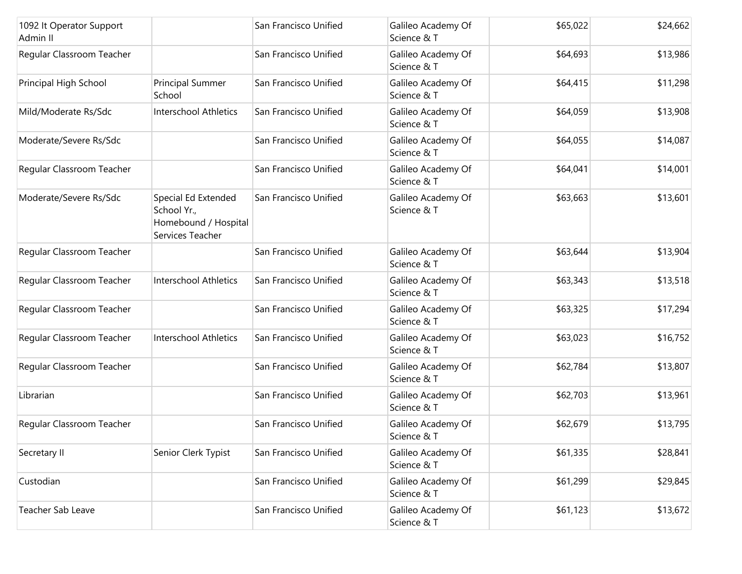| 1092 It Operator Support<br>Admin II |                                                                                | San Francisco Unified | Galileo Academy Of<br>Science & T | \$65,022 | \$24,662 |
|--------------------------------------|--------------------------------------------------------------------------------|-----------------------|-----------------------------------|----------|----------|
| Regular Classroom Teacher            |                                                                                | San Francisco Unified | Galileo Academy Of<br>Science & T | \$64,693 | \$13,986 |
| Principal High School                | Principal Summer<br>School                                                     | San Francisco Unified | Galileo Academy Of<br>Science & T | \$64,415 | \$11,298 |
| Mild/Moderate Rs/Sdc                 | <b>Interschool Athletics</b>                                                   | San Francisco Unified | Galileo Academy Of<br>Science & T | \$64,059 | \$13,908 |
| Moderate/Severe Rs/Sdc               |                                                                                | San Francisco Unified | Galileo Academy Of<br>Science & T | \$64,055 | \$14,087 |
| Regular Classroom Teacher            |                                                                                | San Francisco Unified | Galileo Academy Of<br>Science & T | \$64,041 | \$14,001 |
| Moderate/Severe Rs/Sdc               | Special Ed Extended<br>School Yr.,<br>Homebound / Hospital<br>Services Teacher | San Francisco Unified | Galileo Academy Of<br>Science & T | \$63,663 | \$13,601 |
| Regular Classroom Teacher            |                                                                                | San Francisco Unified | Galileo Academy Of<br>Science & T | \$63,644 | \$13,904 |
| Regular Classroom Teacher            | <b>Interschool Athletics</b>                                                   | San Francisco Unified | Galileo Academy Of<br>Science & T | \$63,343 | \$13,518 |
| Regular Classroom Teacher            |                                                                                | San Francisco Unified | Galileo Academy Of<br>Science & T | \$63,325 | \$17,294 |
| Regular Classroom Teacher            | Interschool Athletics                                                          | San Francisco Unified | Galileo Academy Of<br>Science & T | \$63,023 | \$16,752 |
| Regular Classroom Teacher            |                                                                                | San Francisco Unified | Galileo Academy Of<br>Science & T | \$62,784 | \$13,807 |
| Librarian                            |                                                                                | San Francisco Unified | Galileo Academy Of<br>Science & T | \$62,703 | \$13,961 |
| Regular Classroom Teacher            |                                                                                | San Francisco Unified | Galileo Academy Of<br>Science & T | \$62,679 | \$13,795 |
| Secretary II                         | Senior Clerk Typist                                                            | San Francisco Unified | Galileo Academy Of<br>Science & T | \$61,335 | \$28,841 |
| Custodian                            |                                                                                | San Francisco Unified | Galileo Academy Of<br>Science & T | \$61,299 | \$29,845 |
| Teacher Sab Leave                    |                                                                                | San Francisco Unified | Galileo Academy Of<br>Science & T | \$61,123 | \$13,672 |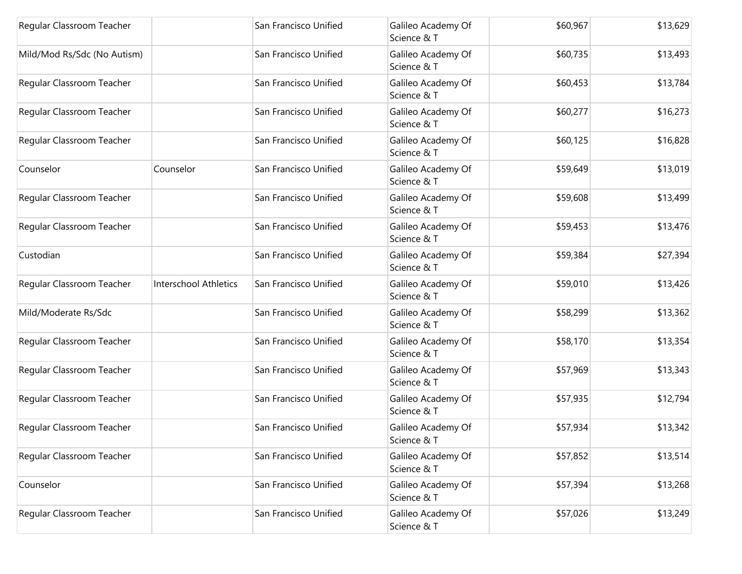| Regular Classroom Teacher   |                       | San Francisco Unified | Galileo Academy Of<br>Science & T | \$60,967 | \$13,629 |
|-----------------------------|-----------------------|-----------------------|-----------------------------------|----------|----------|
| Mild/Mod Rs/Sdc (No Autism) |                       | San Francisco Unified | Galileo Academy Of<br>Science & T | \$60,735 | \$13,493 |
| Regular Classroom Teacher   |                       | San Francisco Unified | Galileo Academy Of<br>Science & T | \$60,453 | \$13,784 |
| Regular Classroom Teacher   |                       | San Francisco Unified | Galileo Academy Of<br>Science & T | \$60,277 | \$16,273 |
| Regular Classroom Teacher   |                       | San Francisco Unified | Galileo Academy Of<br>Science & T | \$60,125 | \$16,828 |
| Counselor                   | Counselor             | San Francisco Unified | Galileo Academy Of<br>Science & T | \$59,649 | \$13,019 |
| Regular Classroom Teacher   |                       | San Francisco Unified | Galileo Academy Of<br>Science & T | \$59,608 | \$13,499 |
| Regular Classroom Teacher   |                       | San Francisco Unified | Galileo Academy Of<br>Science & T | \$59,453 | \$13,476 |
| Custodian                   |                       | San Francisco Unified | Galileo Academy Of<br>Science & T | \$59,384 | \$27,394 |
| Regular Classroom Teacher   | Interschool Athletics | San Francisco Unified | Galileo Academy Of<br>Science & T | \$59,010 | \$13,426 |
| Mild/Moderate Rs/Sdc        |                       | San Francisco Unified | Galileo Academy Of<br>Science & T | \$58,299 | \$13,362 |
| Regular Classroom Teacher   |                       | San Francisco Unified | Galileo Academy Of<br>Science & T | \$58,170 | \$13,354 |
| Regular Classroom Teacher   |                       | San Francisco Unified | Galileo Academy Of<br>Science & T | \$57,969 | \$13,343 |
| Regular Classroom Teacher   |                       | San Francisco Unified | Galileo Academy Of<br>Science & T | \$57,935 | \$12,794 |
| Regular Classroom Teacher   |                       | San Francisco Unified | Galileo Academy Of<br>Science & T | \$57,934 | \$13,342 |
| Regular Classroom Teacher   |                       | San Francisco Unified | Galileo Academy Of<br>Science & T | \$57,852 | \$13,514 |
| Counselor                   |                       | San Francisco Unified | Galileo Academy Of<br>Science & T | \$57,394 | \$13,268 |
| Regular Classroom Teacher   |                       | San Francisco Unified | Galileo Academy Of<br>Science & T | \$57,026 | \$13,249 |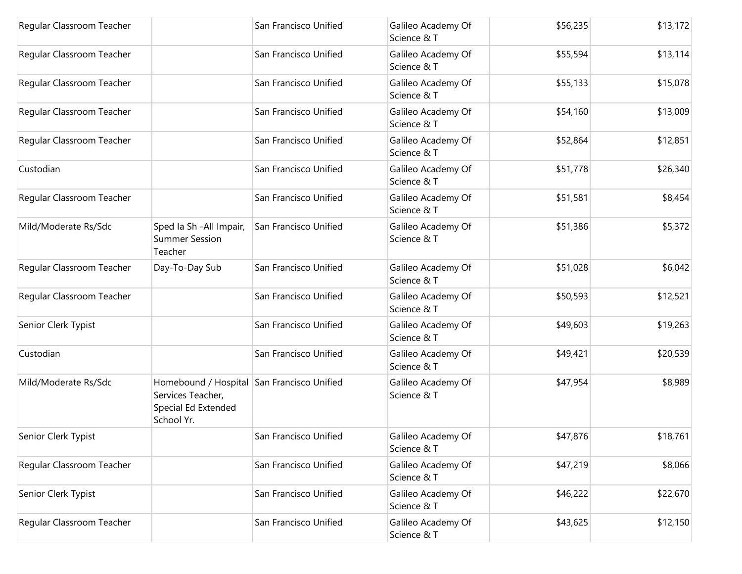| Regular Classroom Teacher |                                                                                                      | San Francisco Unified | Galileo Academy Of<br>Science & T | \$56,235 | \$13,172 |
|---------------------------|------------------------------------------------------------------------------------------------------|-----------------------|-----------------------------------|----------|----------|
| Regular Classroom Teacher |                                                                                                      | San Francisco Unified | Galileo Academy Of<br>Science & T | \$55,594 | \$13,114 |
| Regular Classroom Teacher |                                                                                                      | San Francisco Unified | Galileo Academy Of<br>Science & T | \$55,133 | \$15,078 |
| Regular Classroom Teacher |                                                                                                      | San Francisco Unified | Galileo Academy Of<br>Science & T | \$54,160 | \$13,009 |
| Regular Classroom Teacher |                                                                                                      | San Francisco Unified | Galileo Academy Of<br>Science & T | \$52,864 | \$12,851 |
| Custodian                 |                                                                                                      | San Francisco Unified | Galileo Academy Of<br>Science & T | \$51,778 | \$26,340 |
| Regular Classroom Teacher |                                                                                                      | San Francisco Unified | Galileo Academy Of<br>Science & T | \$51,581 | \$8,454  |
| Mild/Moderate Rs/Sdc      | Sped Ia Sh - All Impair,<br><b>Summer Session</b><br>Teacher                                         | San Francisco Unified | Galileo Academy Of<br>Science & T | \$51,386 | \$5,372  |
| Regular Classroom Teacher | Day-To-Day Sub                                                                                       | San Francisco Unified | Galileo Academy Of<br>Science & T | \$51,028 | \$6,042  |
| Regular Classroom Teacher |                                                                                                      | San Francisco Unified | Galileo Academy Of<br>Science & T | \$50,593 | \$12,521 |
| Senior Clerk Typist       |                                                                                                      | San Francisco Unified | Galileo Academy Of<br>Science & T | \$49,603 | \$19,263 |
| Custodian                 |                                                                                                      | San Francisco Unified | Galileo Academy Of<br>Science & T | \$49,421 | \$20,539 |
| Mild/Moderate Rs/Sdc      | Homebound / Hospital San Francisco Unified<br>Services Teacher,<br>Special Ed Extended<br>School Yr. |                       | Galileo Academy Of<br>Science & T | \$47,954 | \$8,989  |
| Senior Clerk Typist       |                                                                                                      | San Francisco Unified | Galileo Academy Of<br>Science & T | \$47,876 | \$18,761 |
| Regular Classroom Teacher |                                                                                                      | San Francisco Unified | Galileo Academy Of<br>Science & T | \$47,219 | \$8,066  |
| Senior Clerk Typist       |                                                                                                      | San Francisco Unified | Galileo Academy Of<br>Science & T | \$46,222 | \$22,670 |
| Regular Classroom Teacher |                                                                                                      | San Francisco Unified | Galileo Academy Of<br>Science & T | \$43,625 | \$12,150 |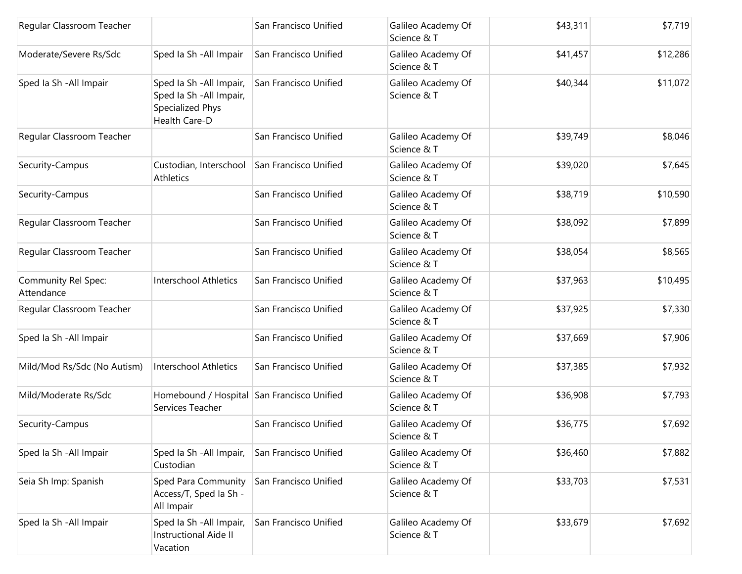| Regular Classroom Teacher         |                                                                                           | San Francisco Unified | Galileo Academy Of<br>Science & T | \$43,311 | \$7,719  |
|-----------------------------------|-------------------------------------------------------------------------------------------|-----------------------|-----------------------------------|----------|----------|
| Moderate/Severe Rs/Sdc            | Sped Ia Sh - All Impair                                                                   | San Francisco Unified | Galileo Academy Of<br>Science & T | \$41,457 | \$12,286 |
| Sped Ia Sh - All Impair           | Sped Ia Sh - All Impair,<br>Sped Ia Sh - All Impair,<br>Specialized Phys<br>Health Care-D | San Francisco Unified | Galileo Academy Of<br>Science & T | \$40,344 | \$11,072 |
| Regular Classroom Teacher         |                                                                                           | San Francisco Unified | Galileo Academy Of<br>Science & T | \$39,749 | \$8,046  |
| Security-Campus                   | Custodian, Interschool<br>Athletics                                                       | San Francisco Unified | Galileo Academy Of<br>Science & T | \$39,020 | \$7,645  |
| Security-Campus                   |                                                                                           | San Francisco Unified | Galileo Academy Of<br>Science & T | \$38,719 | \$10,590 |
| Regular Classroom Teacher         |                                                                                           | San Francisco Unified | Galileo Academy Of<br>Science & T | \$38,092 | \$7,899  |
| Regular Classroom Teacher         |                                                                                           | San Francisco Unified | Galileo Academy Of<br>Science & T | \$38,054 | \$8,565  |
| Community Rel Spec:<br>Attendance | Interschool Athletics                                                                     | San Francisco Unified | Galileo Academy Of<br>Science & T | \$37,963 | \$10,495 |
| Regular Classroom Teacher         |                                                                                           | San Francisco Unified | Galileo Academy Of<br>Science & T | \$37,925 | \$7,330  |
| Sped Ia Sh - All Impair           |                                                                                           | San Francisco Unified | Galileo Academy Of<br>Science & T | \$37,669 | \$7,906  |
| Mild/Mod Rs/Sdc (No Autism)       | Interschool Athletics                                                                     | San Francisco Unified | Galileo Academy Of<br>Science & T | \$37,385 | \$7,932  |
| Mild/Moderate Rs/Sdc              | Homebound / Hospital San Francisco Unified<br>Services Teacher                            |                       | Galileo Academy Of<br>Science & T | \$36,908 | \$7,793  |
| Security-Campus                   |                                                                                           | San Francisco Unified | Galileo Academy Of<br>Science & T | \$36,775 | \$7,692  |
| Sped Ia Sh - All Impair           | Sped Ia Sh - All Impair,<br>Custodian                                                     | San Francisco Unified | Galileo Academy Of<br>Science & T | \$36,460 | \$7,882  |
| Seia Sh Imp: Spanish              | Sped Para Community<br>Access/T, Sped Ia Sh -<br>All Impair                               | San Francisco Unified | Galileo Academy Of<br>Science & T | \$33,703 | \$7,531  |
| Sped la Sh - All Impair           | Sped Ia Sh - All Impair,<br><b>Instructional Aide II</b><br>Vacation                      | San Francisco Unified | Galileo Academy Of<br>Science & T | \$33,679 | \$7,692  |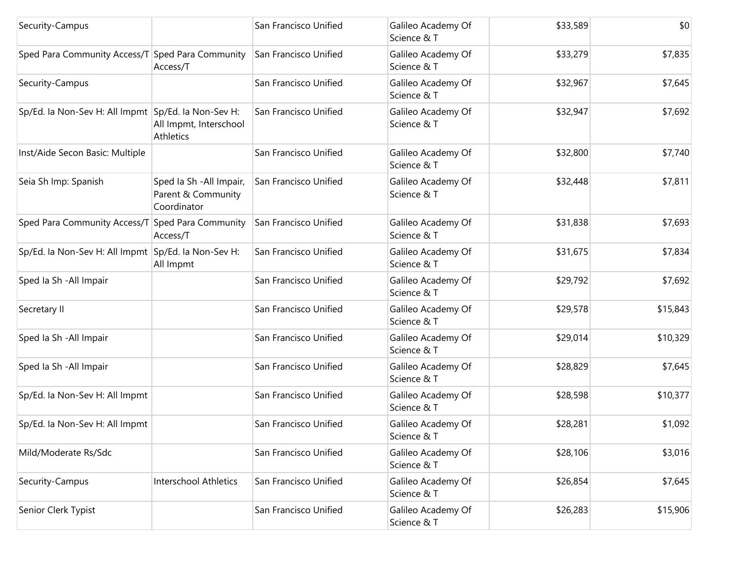| Security-Campus                                     |                                                               | San Francisco Unified | Galileo Academy Of<br>Science & T | \$33,589 | \$0      |
|-----------------------------------------------------|---------------------------------------------------------------|-----------------------|-----------------------------------|----------|----------|
| Sped Para Community Access/T Sped Para Community    | Access/T                                                      | San Francisco Unified | Galileo Academy Of<br>Science & T | \$33,279 | \$7,835  |
| Security-Campus                                     |                                                               | San Francisco Unified | Galileo Academy Of<br>Science & T | \$32,967 | \$7,645  |
| Sp/Ed. la Non-Sev H: All Impmt Sp/Ed. la Non-Sev H: | All Impmt, Interschool<br><b>Athletics</b>                    | San Francisco Unified | Galileo Academy Of<br>Science & T | \$32,947 | \$7,692  |
| Inst/Aide Secon Basic: Multiple                     |                                                               | San Francisco Unified | Galileo Academy Of<br>Science & T | \$32,800 | \$7,740  |
| Seia Sh Imp: Spanish                                | Sped Ia Sh - All Impair,<br>Parent & Community<br>Coordinator | San Francisco Unified | Galileo Academy Of<br>Science & T | \$32,448 | \$7,811  |
| Sped Para Community Access/T Sped Para Community    | Access/T                                                      | San Francisco Unified | Galileo Academy Of<br>Science & T | \$31,838 | \$7,693  |
| Sp/Ed. la Non-Sev H: All Impmt Sp/Ed. la Non-Sev H: | All Impmt                                                     | San Francisco Unified | Galileo Academy Of<br>Science & T | \$31,675 | \$7,834  |
| Sped Ia Sh - All Impair                             |                                                               | San Francisco Unified | Galileo Academy Of<br>Science & T | \$29,792 | \$7,692  |
| Secretary II                                        |                                                               | San Francisco Unified | Galileo Academy Of<br>Science & T | \$29,578 | \$15,843 |
| Sped Ia Sh - All Impair                             |                                                               | San Francisco Unified | Galileo Academy Of<br>Science & T | \$29,014 | \$10,329 |
| Sped Ia Sh - All Impair                             |                                                               | San Francisco Unified | Galileo Academy Of<br>Science & T | \$28,829 | \$7,645  |
| Sp/Ed. la Non-Sev H: All Impmt                      |                                                               | San Francisco Unified | Galileo Academy Of<br>Science & T | \$28,598 | \$10,377 |
| Sp/Ed. la Non-Sev H: All Impmt                      |                                                               | San Francisco Unified | Galileo Academy Of<br>Science & T | \$28,281 | \$1,092  |
| Mild/Moderate Rs/Sdc                                |                                                               | San Francisco Unified | Galileo Academy Of<br>Science & T | \$28,106 | \$3,016  |
| Security-Campus                                     | Interschool Athletics                                         | San Francisco Unified | Galileo Academy Of<br>Science & T | \$26,854 | \$7,645  |
| Senior Clerk Typist                                 |                                                               | San Francisco Unified | Galileo Academy Of<br>Science & T | \$26,283 | \$15,906 |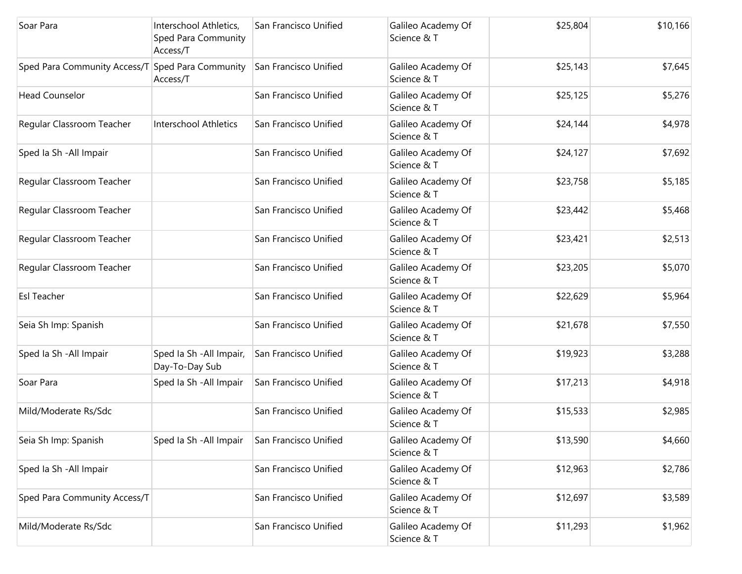| Soar Para                                        | Interschool Athletics,<br><b>Sped Para Community</b><br>Access/T | San Francisco Unified | Galileo Academy Of<br>Science & T | \$25,804 | \$10,166 |
|--------------------------------------------------|------------------------------------------------------------------|-----------------------|-----------------------------------|----------|----------|
| Sped Para Community Access/T Sped Para Community | Access/T                                                         | San Francisco Unified | Galileo Academy Of<br>Science & T | \$25,143 | \$7,645  |
| <b>Head Counselor</b>                            |                                                                  | San Francisco Unified | Galileo Academy Of<br>Science & T | \$25,125 | \$5,276  |
| Regular Classroom Teacher                        | Interschool Athletics                                            | San Francisco Unified | Galileo Academy Of<br>Science & T | \$24,144 | \$4,978  |
| Sped Ia Sh - All Impair                          |                                                                  | San Francisco Unified | Galileo Academy Of<br>Science & T | \$24,127 | \$7,692  |
| Regular Classroom Teacher                        |                                                                  | San Francisco Unified | Galileo Academy Of<br>Science & T | \$23,758 | \$5,185  |
| Regular Classroom Teacher                        |                                                                  | San Francisco Unified | Galileo Academy Of<br>Science & T | \$23,442 | \$5,468  |
| Regular Classroom Teacher                        |                                                                  | San Francisco Unified | Galileo Academy Of<br>Science & T | \$23,421 | \$2,513  |
| Regular Classroom Teacher                        |                                                                  | San Francisco Unified | Galileo Academy Of<br>Science & T | \$23,205 | \$5,070  |
| <b>Esl Teacher</b>                               |                                                                  | San Francisco Unified | Galileo Academy Of<br>Science & T | \$22,629 | \$5,964  |
| Seia Sh Imp: Spanish                             |                                                                  | San Francisco Unified | Galileo Academy Of<br>Science & T | \$21,678 | \$7,550  |
| Sped Ia Sh - All Impair                          | Sped Ia Sh - All Impair,<br>Day-To-Day Sub                       | San Francisco Unified | Galileo Academy Of<br>Science & T | \$19,923 | \$3,288  |
| Soar Para                                        | Sped Ia Sh - All Impair                                          | San Francisco Unified | Galileo Academy Of<br>Science & T | \$17,213 | \$4,918  |
| Mild/Moderate Rs/Sdc                             |                                                                  | San Francisco Unified | Galileo Academy Of<br>Science & T | \$15,533 | \$2,985  |
| Seia Sh Imp: Spanish                             | Sped Ia Sh - All Impair                                          | San Francisco Unified | Galileo Academy Of<br>Science & T | \$13,590 | \$4,660  |
| Sped Ia Sh - All Impair                          |                                                                  | San Francisco Unified | Galileo Academy Of<br>Science & T | \$12,963 | \$2,786  |
| Sped Para Community Access/T                     |                                                                  | San Francisco Unified | Galileo Academy Of<br>Science & T | \$12,697 | \$3,589  |
| Mild/Moderate Rs/Sdc                             |                                                                  | San Francisco Unified | Galileo Academy Of<br>Science & T | \$11,293 | \$1,962  |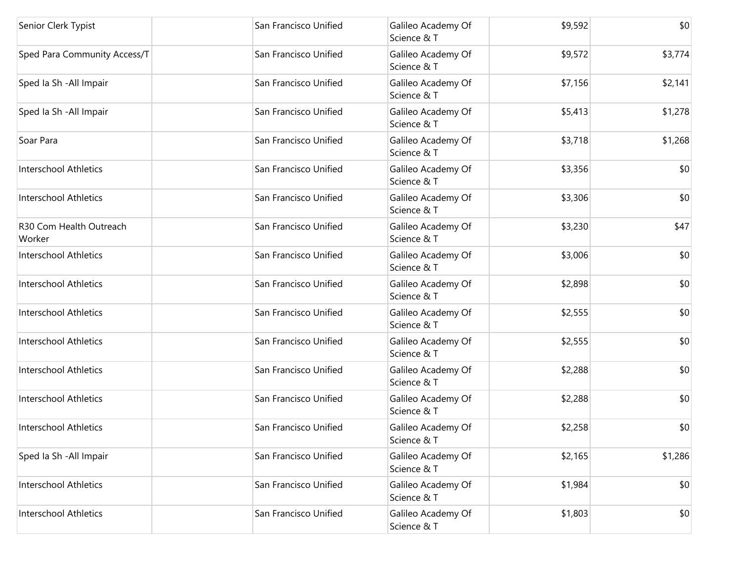| Senior Clerk Typist               | San Francisco Unified | Galileo Academy Of<br>Science & T | \$9,592 | \$0     |
|-----------------------------------|-----------------------|-----------------------------------|---------|---------|
| Sped Para Community Access/T      | San Francisco Unified | Galileo Academy Of<br>Science & T | \$9,572 | \$3,774 |
| Sped Ia Sh - All Impair           | San Francisco Unified | Galileo Academy Of<br>Science & T | \$7,156 | \$2,141 |
| Sped Ia Sh - All Impair           | San Francisco Unified | Galileo Academy Of<br>Science & T | \$5,413 | \$1,278 |
| Soar Para                         | San Francisco Unified | Galileo Academy Of<br>Science & T | \$3,718 | \$1,268 |
| <b>Interschool Athletics</b>      | San Francisco Unified | Galileo Academy Of<br>Science & T | \$3,356 | \$0     |
| Interschool Athletics             | San Francisco Unified | Galileo Academy Of<br>Science & T | \$3,306 | \$0     |
| R30 Com Health Outreach<br>Worker | San Francisco Unified | Galileo Academy Of<br>Science & T | \$3,230 | \$47    |
| Interschool Athletics             | San Francisco Unified | Galileo Academy Of<br>Science & T | \$3,006 | \$0     |
| <b>Interschool Athletics</b>      | San Francisco Unified | Galileo Academy Of<br>Science & T | \$2,898 | \$0     |
| <b>Interschool Athletics</b>      | San Francisco Unified | Galileo Academy Of<br>Science & T | \$2,555 | \$0     |
| Interschool Athletics             | San Francisco Unified | Galileo Academy Of<br>Science & T | \$2,555 | \$0     |
| Interschool Athletics             | San Francisco Unified | Galileo Academy Of<br>Science & T | \$2,288 | \$0     |
| Interschool Athletics             | San Francisco Unified | Galileo Academy Of<br>Science & T | \$2,288 | \$0     |
| <b>Interschool Athletics</b>      | San Francisco Unified | Galileo Academy Of<br>Science & T | \$2,258 | \$0     |
| Sped Ia Sh - All Impair           | San Francisco Unified | Galileo Academy Of<br>Science & T | \$2,165 | \$1,286 |
| <b>Interschool Athletics</b>      | San Francisco Unified | Galileo Academy Of<br>Science & T | \$1,984 | \$0     |
| <b>Interschool Athletics</b>      | San Francisco Unified | Galileo Academy Of<br>Science & T | \$1,803 | \$0     |